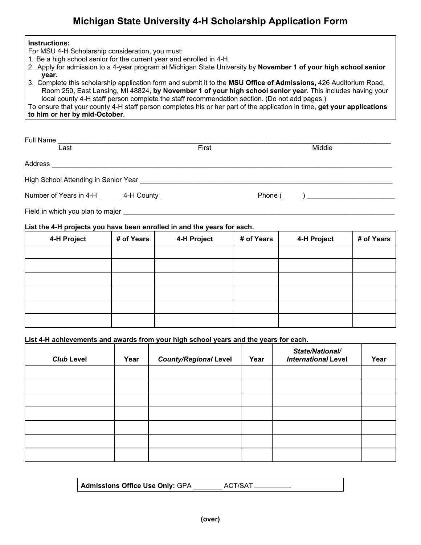## **Michigan State University 4-H Scholarship Application Form**

## **Instructions:**

For MSU 4-H Scholarship consideration, you must:

- 1. Be a high school senior for the current year and enrolled in 4-H.
- 2. Apply for admission to a 4-year program at Michigan State University by **November 1 of your high school senior year**.
- 3. Complete this scholarship application form and submit it to the **MSU Office of Admissions,** 426 Auditorium Road, Room 250, East Lansing, MI 48824, **by November 1 of your high school senior year**. This includes having your local county 4-H staff person complete the staff recommendation section. (Do not add pages.)

To ensure that your county 4-H staff person completes his or her part of the application in time, **get your applications to him or her by mid-October**.

| Full Name                                                               |            |             |            |             |            |  |
|-------------------------------------------------------------------------|------------|-------------|------------|-------------|------------|--|
| Last                                                                    |            | First       |            | Middle      |            |  |
| Address                                                                 |            |             |            |             |            |  |
|                                                                         |            |             |            |             |            |  |
|                                                                         |            |             |            |             |            |  |
|                                                                         |            |             |            |             |            |  |
| List the 4-H projects you have been enrolled in and the years for each. |            |             |            |             |            |  |
| 4-H Project                                                             | # of Years | 4-H Project | # of Years | 4-H Project | # of Years |  |
|                                                                         |            |             |            |             |            |  |
|                                                                         |            |             |            |             |            |  |

## **List 4-H achievements and awards from your high school years and the years for each.**

| <b>Club Level</b> | Year | <b>County/Regional Level</b> | Year | State/National/<br><b>International Level</b> | Year |
|-------------------|------|------------------------------|------|-----------------------------------------------|------|
|                   |      |                              |      |                                               |      |
|                   |      |                              |      |                                               |      |
|                   |      |                              |      |                                               |      |
|                   |      |                              |      |                                               |      |
|                   |      |                              |      |                                               |      |
|                   |      |                              |      |                                               |      |
|                   |      |                              |      |                                               |      |

| ACT/SAT.<br><b>Admissions Office Use Only: GPA</b> |  |
|----------------------------------------------------|--|
|----------------------------------------------------|--|